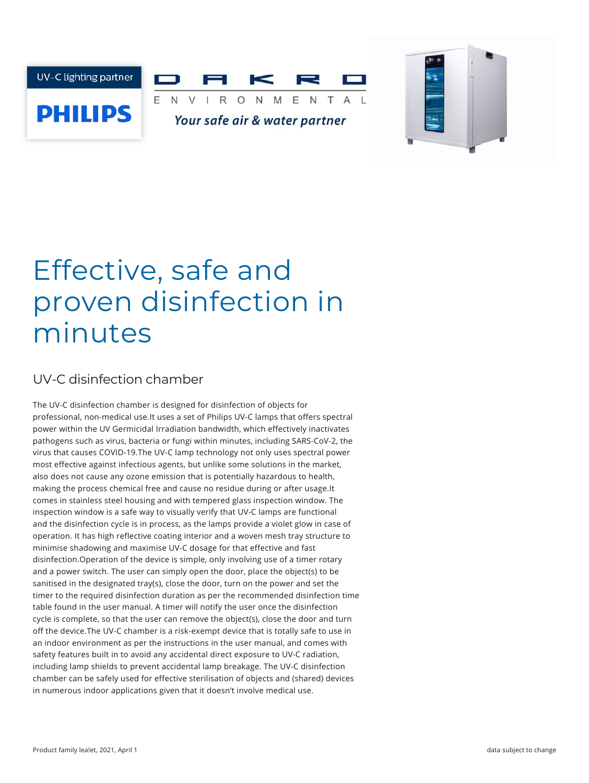



# Effective, safe and proven disinfection in minutes

## UV-C disinfection chamber

The UV-C disinfection chamber is designed for disinfection of objects for professional, non-medical use.It uses a set of Philips UV-C lamps that offers spectral power within the UV Germicidal Irradiation bandwidth, which effectively inactivates pathogens such as virus, bacteria or fungi within minutes, including SARS-CoV-2, the virus that causes COVID-19.The UV-C lamp technology not only uses spectral power most effective against infectious agents, but unlike some solutions in the market, also does not cause any ozone emission that is potentially hazardous to health, making the process chemical free and cause no residue during or after usage.It comes in stainless steel housing and with tempered glass inspection window. The inspection window is a safe way to visually verify that UV-C lamps are functional and the disinfection cycle is in process, as the lamps provide a violet glow in case of operation. It has high reflective coating interior and a woven mesh tray structure to minimise shadowing and maximise UV-C dosage for that effective and fast disinfection.Operation of the device is simple, only involving use of a timer rotary and a power switch. The user can simply open the door, place the object(s) to be sanitised in the designated tray(s), close the door, turn on the power and set the timer to the required disinfection duration as per the recommended disinfection time table found in the user manual. A timer will notify the user once the disinfection cycle is complete, so that the user can remove the object(s), close the door and turn off the device.The UV-C chamber is a risk-exempt device that is totally safe to use in an indoor environment as per the instructions in the user manual, and comes with safety features built in to avoid any accidental direct exposure to UV-C radiation, including lamp shields to prevent accidental lamp breakage. The UV-C disinfection chamber can be safely used for effective sterilisation of objects and (shared) devices in numerous indoor applications given that it doesn't involve medical use.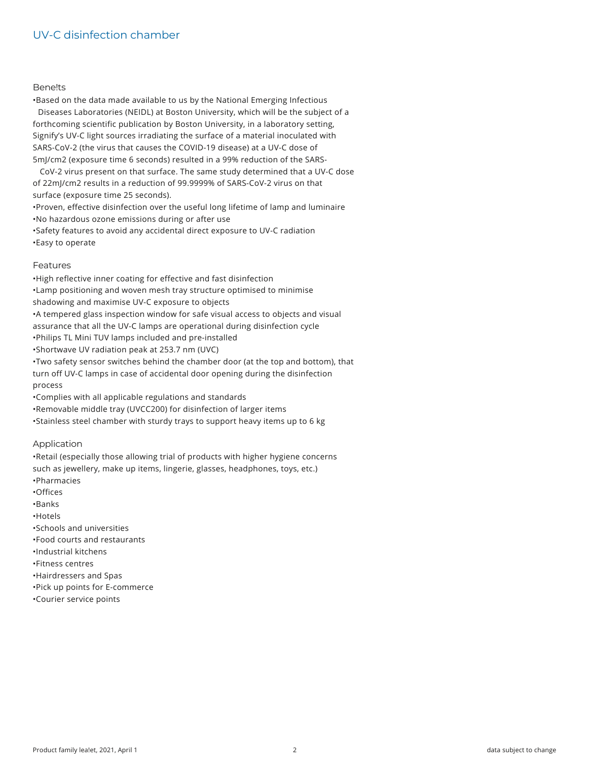#### **Benelts**

•Based on the data made available to us by the National Emerging Infectious Diseases Laboratories (NEIDL) at Boston University, which will be the subject of a forthcoming scientific publication by Boston University, in a laboratory setting, Signify's UV-C light sources irradiating the surface of a material inoculated with SARS-CoV-2 (the virus that causes the COVID-19 disease) at a UV-C dose of 5mJ/cm2 (exposure time 6 seconds) resulted in a 99% reduction of the SARS-

CoV-2 virus present on that surface. The same study determined that a UV-C dose of 22mJ/cm2 results in a reduction of 99.9999% of SARS-CoV-2 virus on that surface (exposure time 25 seconds).

•Proven, effective disinfection over the useful long lifetime of lamp and luminaire •No hazardous ozone emissions during or after use

•Safety features to avoid any accidental direct exposure to UV-C radiation •Easy to operate

#### Features

•High reflective inner coating for effective and fast disinfection •Lamp positioning and woven mesh tray structure optimised to minimise shadowing and maximise UV-C exposure to objects •A tempered glass inspection window for safe visual access to objects and visual assurance that all the UV-C lamps are operational during disinfection cycle •Philips TL Mini TUV lamps included and pre-installed •Shortwave UV radiation peak at 253.7 nm (UVC) •Two safety sensor switches behind the chamber door (at the top and bottom), that turn off UV-C lamps in case of accidental door opening during the disinfection process •Complies with all applicable regulations and standards

•Removable middle tray (UVCC200) for disinfection of larger items

•Stainless steel chamber with sturdy trays to support heavy items up to 6 kg

#### Application

•Retail (especially those allowing trial of products with higher hygiene concerns such as jewellery, make up items, lingerie, glasses, headphones, toys, etc.) •Pharmacies

- •Offices
- •Banks
- •Hotels
- 
- •Schools and universities
- •Food courts and restaurants
- •Industrial kitchens
- •Fitness centres
- •Hairdressers and Spas
- •Pick up points for E-commerce
- •Courier service points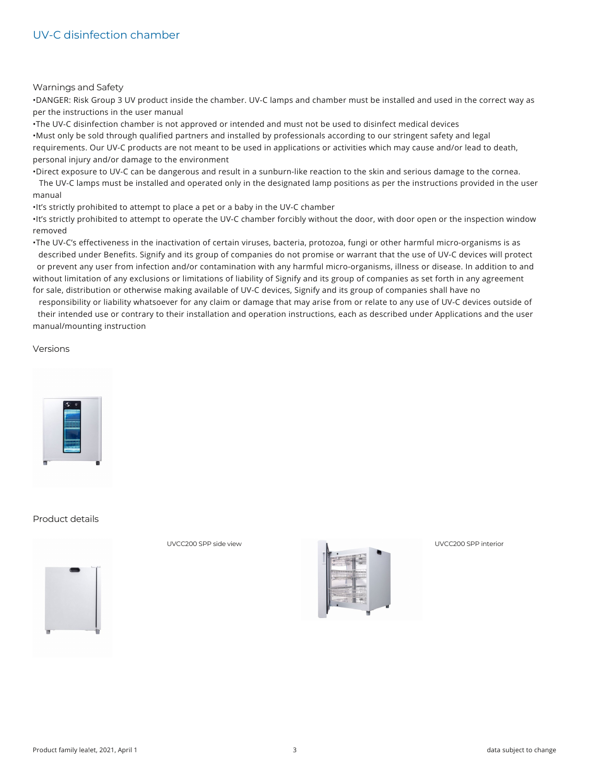#### Warnings and Safety

•DANGER: Risk Group 3 UV product inside the chamber. UV-C lamps and chamber must be installed and used in the correct way as per the instructions in the user manual

•The UV-C disinfection chamber is not approved or intended and must not be used to disinfect medical devices •Must only be sold through qualified partners and installed by professionals according to our stringent safety and legal requirements. Our UV-C products are not meant to be used in applications or activities which may cause and/or lead to death, personal injury and/or damage to the environment

•Direct exposure to UV-C can be dangerous and result in a sunburn-like reaction to the skin and serious damage to the cornea.

The UV-C lamps must be installed and operated only in the designated lamp positions as per the instructions provided in the user manual

•It's strictly prohibited to attempt to place a pet or a baby in the UV-C chamber

•It's strictly prohibited to attempt to operate the UV-C chamber forcibly without the door, with door open or the inspection window removed

•The UV-C's effectiveness in the inactivation of certain viruses, bacteria, protozoa, fungi or other harmful micro-organisms is as described under Benefits. Signify and its group of companies do not promise or warrant that the use of UV-C devices will protect or prevent any user from infection and/or contamination with any harmful micro-organisms, illness or disease. In addition to and without limitation of any exclusions or limitations of liability of Signify and its group of companies as set forth in any agreement

for sale, distribution or otherwise making available of UV-C devices, Signify and its group of companies shall have no

responsibility or liability whatsoever for any claim or damage that may arise from or relate to any use of UV-C devices outside of their intended use or contrary to their installation and operation instructions, each as described under Applications and the user manual/mounting instruction

#### Versions



#### Product details



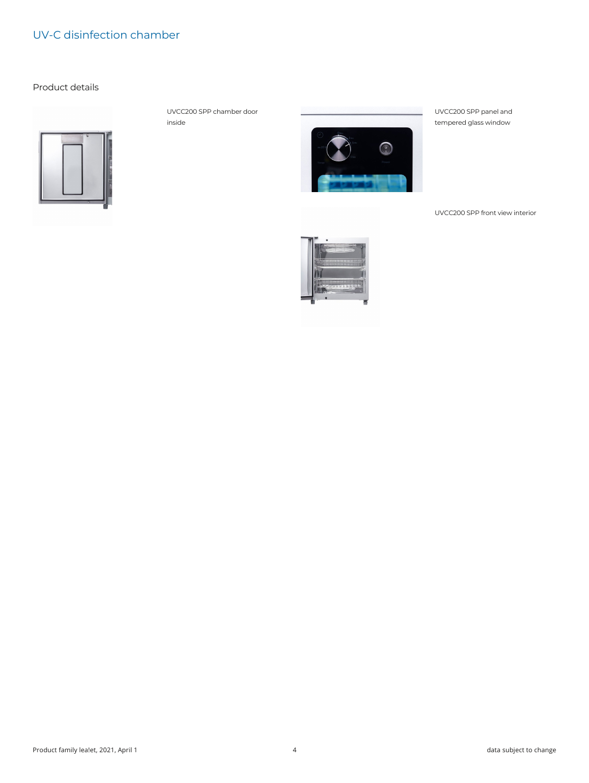Product details



UVCC200 SPP chamber door inside



UVCC200 SPP panel and tempered glass window

UVCC200 SPP front view interior